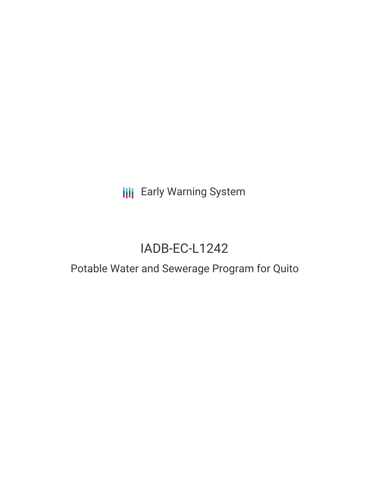**III** Early Warning System

# IADB-EC-L1242

# Potable Water and Sewerage Program for Quito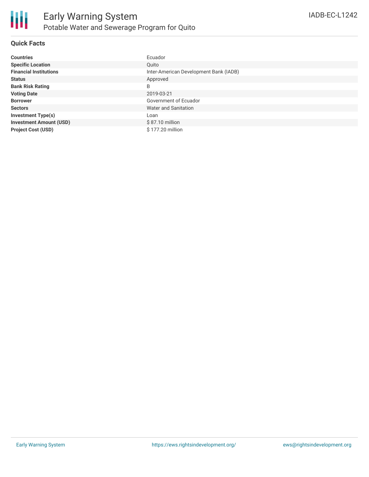

#### **Quick Facts**

| <b>Countries</b>               | Ecuador                                |
|--------------------------------|----------------------------------------|
| <b>Specific Location</b>       | Ouito                                  |
| <b>Financial Institutions</b>  | Inter-American Development Bank (IADB) |
| <b>Status</b>                  | Approved                               |
| <b>Bank Risk Rating</b>        | B                                      |
| <b>Voting Date</b>             | 2019-03-21                             |
| <b>Borrower</b>                | Government of Ecuador                  |
| <b>Sectors</b>                 | Water and Sanitation                   |
| <b>Investment Type(s)</b>      | Loan                                   |
| <b>Investment Amount (USD)</b> | \$87.10 million                        |
| <b>Project Cost (USD)</b>      | \$177.20 million                       |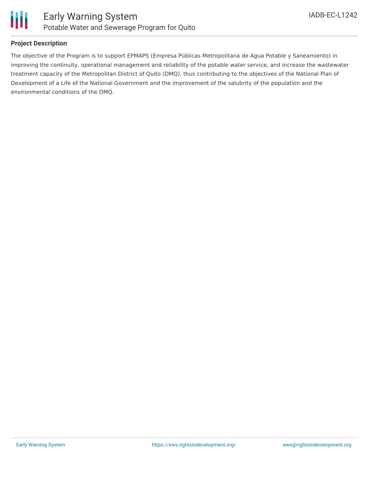

## **Project Description**

The objective of the Program is to support EPMAPS (Empresa Públicas Metropolitana de Agua Potable y Saneamiento) in improving the continuity, operational management and reliability of the potable water service, and increase the wastewater treatment capacity of the Metropolitan District of Quito (DMQ), thus contributing to the objectives of the National Plan of Development of a Life of the National Government and the improvement of the salubrity of the population and the environmental conditions of the DMQ.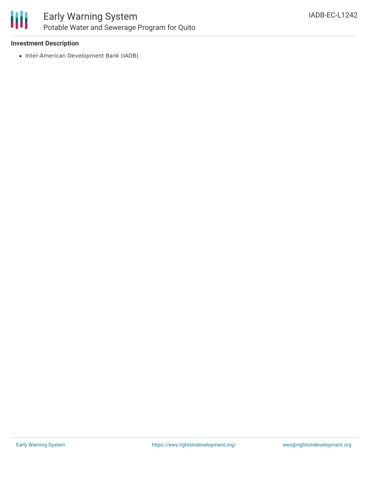

#### **Investment Description**

• Inter-American Development Bank (IADB)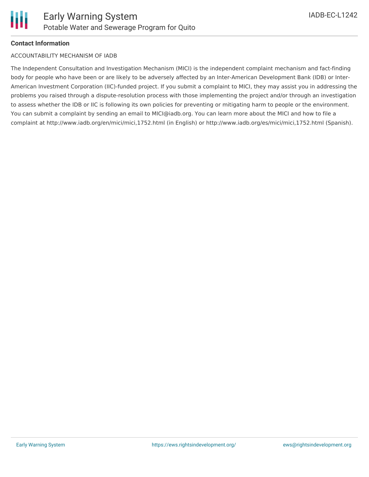

## **Contact Information**

#### ACCOUNTABILITY MECHANISM OF IADB

The Independent Consultation and Investigation Mechanism (MICI) is the independent complaint mechanism and fact-finding body for people who have been or are likely to be adversely affected by an Inter-American Development Bank (IDB) or Inter-American Investment Corporation (IIC)-funded project. If you submit a complaint to MICI, they may assist you in addressing the problems you raised through a dispute-resolution process with those implementing the project and/or through an investigation to assess whether the IDB or IIC is following its own policies for preventing or mitigating harm to people or the environment. You can submit a complaint by sending an email to MICI@iadb.org. You can learn more about the MICI and how to file a complaint at http://www.iadb.org/en/mici/mici,1752.html (in English) or http://www.iadb.org/es/mici/mici,1752.html (Spanish).